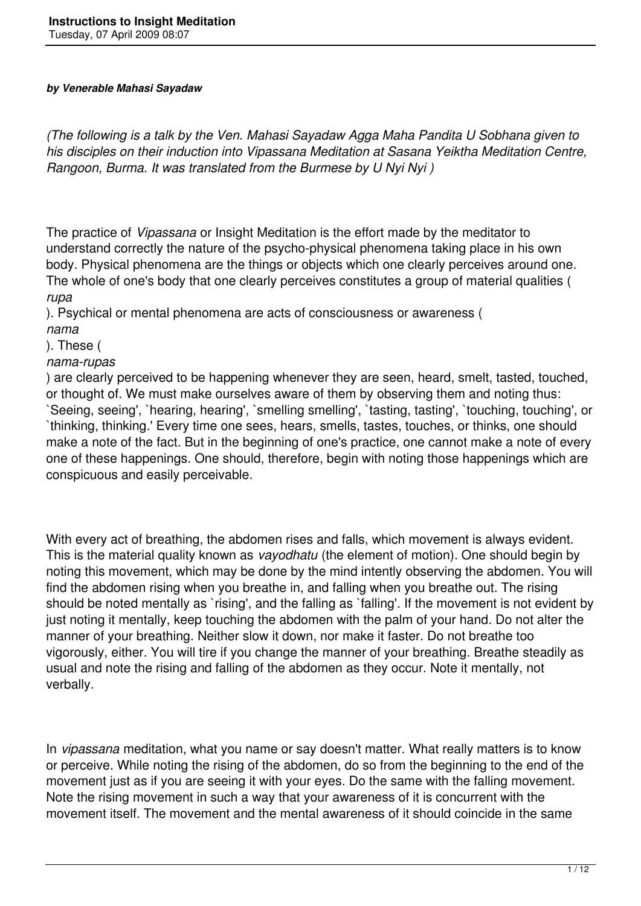### *by Venerable Mahasi Sayadaw*

*(The following is a talk by the Ven. Mahasi Sayadaw Agga Maha Pandita U Sobhana given to his disciples on their induction into Vipassana Meditation at Sasana Yeiktha Meditation Centre, Rangoon, Burma. It was translated from the Burmese by U Nyi Nyi )* 

The practice of *Vipassana* or Insight Meditation is the effort made by the meditator to understand correctly the nature of the psycho-physical phenomena taking place in his own body. Physical phenomena are the things or objects which one clearly perceives around one. The whole of one's body that one clearly perceives constitutes a group of material qualities ( *rupa*

). Psychical or mental phenomena are acts of consciousness or awareness ( *nama*

). These (

*nama-rupas*

) are clearly perceived to be happening whenever they are seen, heard, smelt, tasted, touched, or thought of. We must make ourselves aware of them by observing them and noting thus: `Seeing, seeing', `hearing, hearing', `smelling smelling', `tasting, tasting', `touching, touching', or `thinking, thinking.' Every time one sees, hears, smells, tastes, touches, or thinks, one should make a note of the fact. But in the beginning of one's practice, one cannot make a note of every one of these happenings. One should, therefore, begin with noting those happenings which are conspicuous and easily perceivable.

With every act of breathing, the abdomen rises and falls, which movement is always evident. This is the material quality known as *vayodhatu* (the element of motion). One should begin by noting this movement, which may be done by the mind intently observing the abdomen. You will find the abdomen rising when you breathe in, and falling when you breathe out. The rising should be noted mentally as `rising', and the falling as `falling'. If the movement is not evident by just noting it mentally, keep touching the abdomen with the palm of your hand. Do not alter the manner of your breathing. Neither slow it down, nor make it faster. Do not breathe too vigorously, either. You will tire if you change the manner of your breathing. Breathe steadily as usual and note the rising and falling of the abdomen as they occur. Note it mentally, not verbally.

In *vipassana* meditation, what you name or say doesn't matter. What really matters is to know or perceive. While noting the rising of the abdomen, do so from the beginning to the end of the movement just as if you are seeing it with your eyes. Do the same with the falling movement. Note the rising movement in such a way that your awareness of it is concurrent with the movement itself. The movement and the mental awareness of it should coincide in the same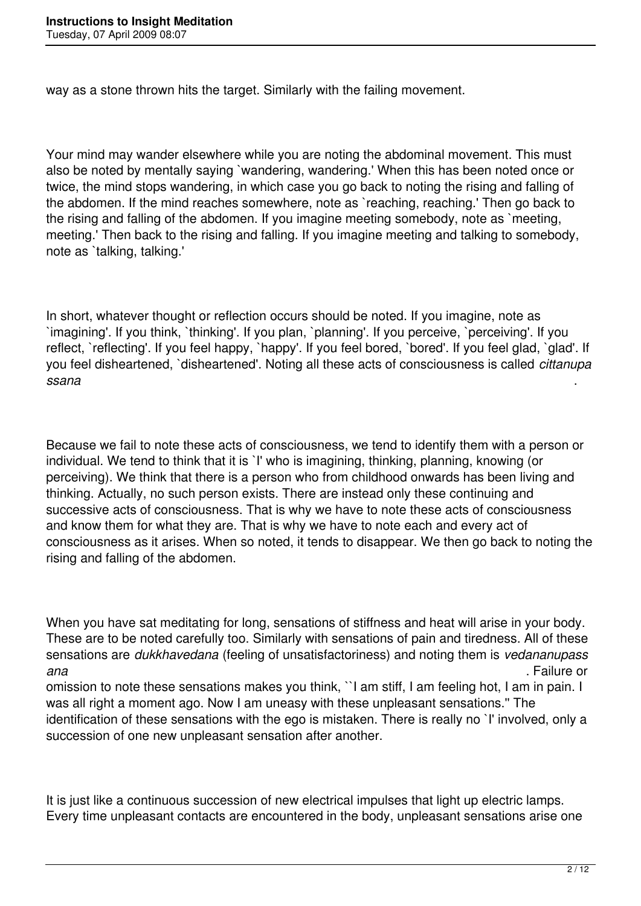way as a stone thrown hits the target. Similarly with the failing movement.

Your mind may wander elsewhere while you are noting the abdominal movement. This must also be noted by mentally saying `wandering, wandering.' When this has been noted once or twice, the mind stops wandering, in which case you go back to noting the rising and falling of the abdomen. If the mind reaches somewhere, note as `reaching, reaching.' Then go back to the rising and falling of the abdomen. If you imagine meeting somebody, note as `meeting, meeting.' Then back to the rising and falling. If you imagine meeting and talking to somebody, note as `talking, talking.'

In short, whatever thought or reflection occurs should be noted. If you imagine, note as `imagining'. If you think, `thinking'. If you plan, `planning'. If you perceive, `perceiving'. If you reflect, `reflecting'. If you feel happy, `happy'. If you feel bored, `bored'. If you feel glad, `glad'. If you feel disheartened, `disheartened'. Noting all these acts of consciousness is called *cittanupa ssana* .

Because we fail to note these acts of consciousness, we tend to identify them with a person or individual. We tend to think that it is `I' who is imagining, thinking, planning, knowing (or perceiving). We think that there is a person who from childhood onwards has been living and thinking. Actually, no such person exists. There are instead only these continuing and successive acts of consciousness. That is why we have to note these acts of consciousness and know them for what they are. That is why we have to note each and every act of consciousness as it arises. When so noted, it tends to disappear. We then go back to noting the rising and falling of the abdomen.

When you have sat meditating for long, sensations of stiffness and heat will arise in your body. These are to be noted carefully too. Similarly with sensations of pain and tiredness. All of these sensations are *dukkhavedana* (feeling of unsatisfactoriness) and noting them is *vedananupass ana* . Failure or omission to note these sensations makes you think, ``I am stiff, I am feeling hot, I am in pain. I was all right a moment ago. Now I am uneasy with these unpleasant sensations.'' The identification of these sensations with the ego is mistaken. There is really no `I' involved, only a

It is just like a continuous succession of new electrical impulses that light up electric lamps. Every time unpleasant contacts are encountered in the body, unpleasant sensations arise one

succession of one new unpleasant sensation after another.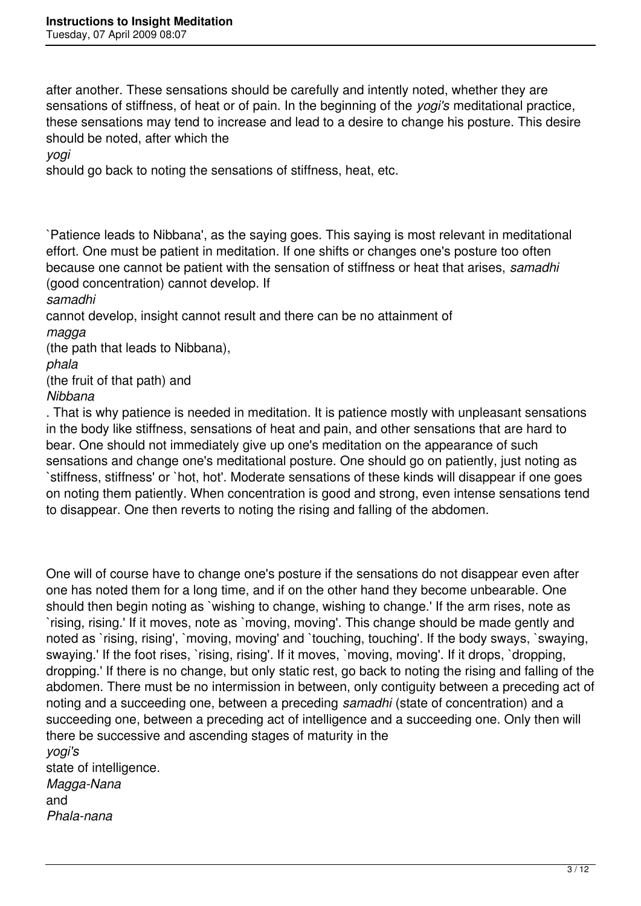after another. These sensations should be carefully and intently noted, whether they are sensations of stiffness, of heat or of pain. In the beginning of the *yogi's* meditational practice, these sensations may tend to increase and lead to a desire to change his posture. This desire should be noted, after which the

*yogi*

should go back to noting the sensations of stiffness, heat, etc.

`Patience leads to Nibbana', as the saying goes. This saying is most relevant in meditational effort. One must be patient in meditation. If one shifts or changes one's posture too often because one cannot be patient with the sensation of stiffness or heat that arises, *samadhi* (good concentration) cannot develop. If

*samadhi*

cannot develop, insight cannot result and there can be no attainment of *magga*

(the path that leads to Nibbana),

*phala*

(the fruit of that path) and

*Nibbana*

. That is why patience is needed in meditation. It is patience mostly with unpleasant sensations in the body like stiffness, sensations of heat and pain, and other sensations that are hard to bear. One should not immediately give up one's meditation on the appearance of such sensations and change one's meditational posture. One should go on patiently, just noting as `stiffness, stiffness' or `hot, hot'. Moderate sensations of these kinds will disappear if one goes on noting them patiently. When concentration is good and strong, even intense sensations tend to disappear. One then reverts to noting the rising and falling of the abdomen.

One will of course have to change one's posture if the sensations do not disappear even after one has noted them for a long time, and if on the other hand they become unbearable. One should then begin noting as `wishing to change, wishing to change.' If the arm rises, note as `rising, rising.' If it moves, note as `moving, moving'. This change should be made gently and noted as `rising, rising', `moving, moving' and `touching, touching'. If the body sways, `swaying, swaying.' If the foot rises, `rising, rising'. If it moves, `moving, moving'. If it drops, `dropping, dropping.' If there is no change, but only static rest, go back to noting the rising and falling of the abdomen. There must be no intermission in between, only contiguity between a preceding act of noting and a succeeding one, between a preceding *samadhi* (state of concentration) and a succeeding one, between a preceding act of intelligence and a succeeding one. Only then will there be successive and ascending stages of maturity in the *yogi's* state of intelligence. *Magga-Nana*

and *Phala-nana*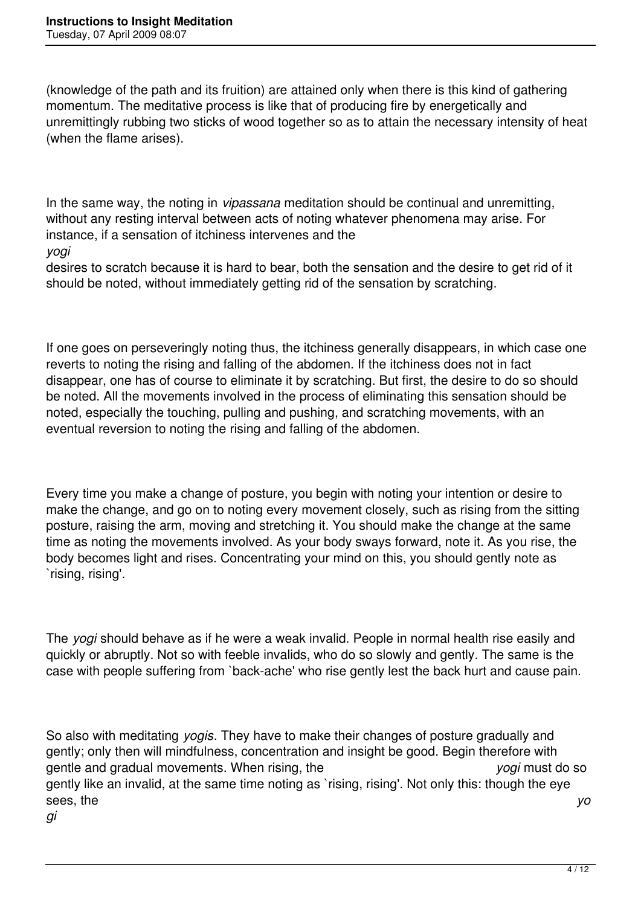(knowledge of the path and its fruition) are attained only when there is this kind of gathering momentum. The meditative process is like that of producing fire by energetically and unremittingly rubbing two sticks of wood together so as to attain the necessary intensity of heat (when the flame arises).

In the same way, the noting in *vipassana* meditation should be continual and unremitting, without any resting interval between acts of noting whatever phenomena may arise. For instance, if a sensation of itchiness intervenes and the *yogi*

desires to scratch because it is hard to bear, both the sensation and the desire to get rid of it should be noted, without immediately getting rid of the sensation by scratching.

If one goes on perseveringly noting thus, the itchiness generally disappears, in which case one reverts to noting the rising and falling of the abdomen. If the itchiness does not in fact disappear, one has of course to eliminate it by scratching. But first, the desire to do so should be noted. All the movements involved in the process of eliminating this sensation should be noted, especially the touching, pulling and pushing, and scratching movements, with an eventual reversion to noting the rising and falling of the abdomen.

Every time you make a change of posture, you begin with noting your intention or desire to make the change, and go on to noting every movement closely, such as rising from the sitting posture, raising the arm, moving and stretching it. You should make the change at the same time as noting the movements involved. As your body sways forward, note it. As you rise, the body becomes light and rises. Concentrating your mind on this, you should gently note as `rising, rising'.

The *yogi* should behave as if he were a weak invalid. People in normal health rise easily and quickly or abruptly. Not so with feeble invalids, who do so slowly and gently. The same is the case with people suffering from `back-ache' who rise gently lest the back hurt and cause pain.

So also with meditating *yogis*. They have to make their changes of posture gradually and gently; only then will mindfulness, concentration and insight be good. Begin therefore with gentle and gradual movements. When rising, the *yogi* must do so gently like an invalid, at the same time noting as `rising, rising'. Not only this: though the eye sees, the *yo*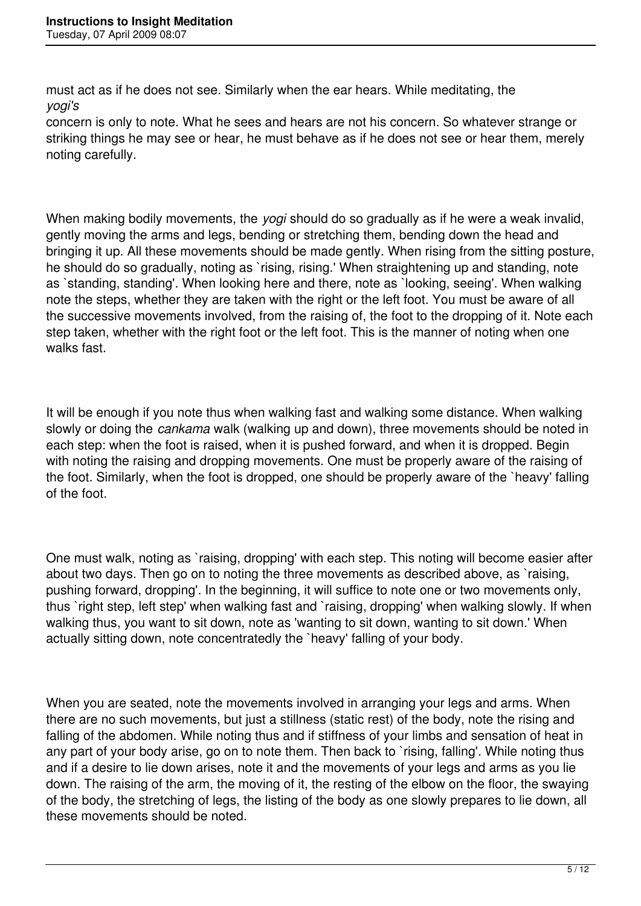must act as if he does not see. Similarly when the ear hears. While meditating, the *yogi's*

concern is only to note. What he sees and hears are not his concern. So whatever strange or striking things he may see or hear, he must behave as if he does not see or hear them, merely noting carefully.

When making bodily movements, the *yogi* should do so gradually as if he were a weak invalid, gently moving the arms and legs, bending or stretching them, bending down the head and bringing it up. All these movements should be made gently. When rising from the sitting posture, he should do so gradually, noting as `rising, rising.' When straightening up and standing, note as `standing, standing'. When looking here and there, note as `looking, seeing'. When walking note the steps, whether they are taken with the right or the left foot. You must be aware of all the successive movements involved, from the raising of, the foot to the dropping of it. Note each step taken, whether with the right foot or the left foot. This is the manner of noting when one walks fast.

It will be enough if you note thus when walking fast and walking some distance. When walking slowly or doing the *cankama* walk (walking up and down), three movements should be noted in each step: when the foot is raised, when it is pushed forward, and when it is dropped. Begin with noting the raising and dropping movements. One must be properly aware of the raising of the foot. Similarly, when the foot is dropped, one should be properly aware of the `heavy' falling of the foot.

One must walk, noting as `raising, dropping' with each step. This noting will become easier after about two days. Then go on to noting the three movements as described above, as `raising, pushing forward, dropping'. In the beginning, it will suffice to note one or two movements only, thus `right step, left step' when walking fast and `raising, dropping' when walking slowly. If when walking thus, you want to sit down, note as 'wanting to sit down, wanting to sit down.' When actually sitting down, note concentratedly the `heavy' falling of your body.

When you are seated, note the movements involved in arranging your legs and arms. When there are no such movements, but just a stillness (static rest) of the body, note the rising and falling of the abdomen. While noting thus and if stiffness of your limbs and sensation of heat in any part of your body arise, go on to note them. Then back to `rising, falling'. While noting thus and if a desire to lie down arises, note it and the movements of your legs and arms as you lie down. The raising of the arm, the moving of it, the resting of the elbow on the floor, the swaying of the body, the stretching of legs, the listing of the body as one slowly prepares to lie down, all these movements should be noted.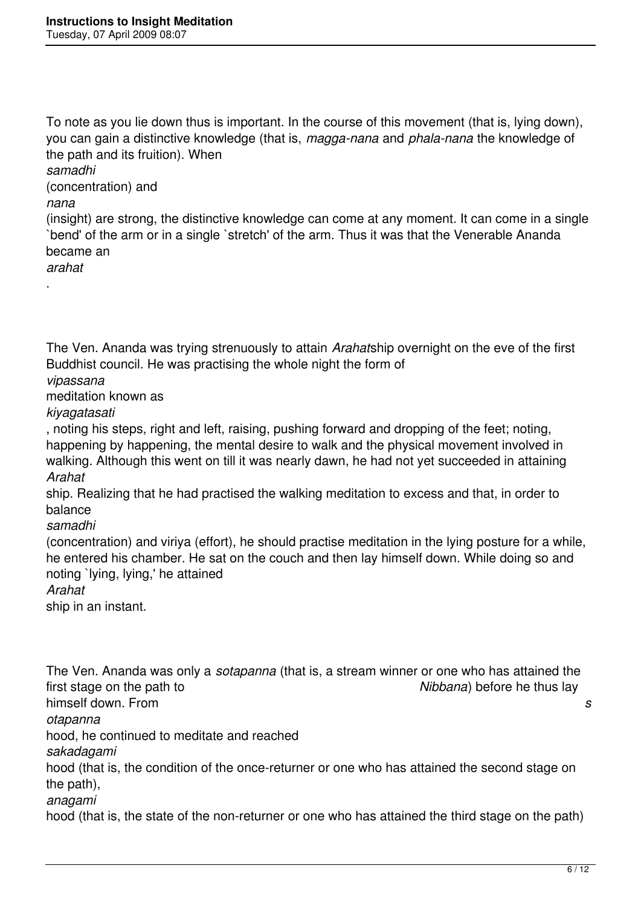To note as you lie down thus is important. In the course of this movement (that is, lying down), you can gain a distinctive knowledge (that is, *magga-nana* and *phala-nana* the knowledge of the path and its fruition). When

### *samadhi*

(concentration) and

#### *nana*

(insight) are strong, the distinctive knowledge can come at any moment. It can come in a single `bend' of the arm or in a single `stretch' of the arm. Thus it was that the Venerable Ananda became an

*arahat*

.

The Ven. Ananda was trying strenuously to attain *Arahat*ship overnight on the eve of the first Buddhist council. He was practising the whole night the form of

# *vipassana*

meditation known as

*kiyagatasati*

, noting his steps, right and left, raising, pushing forward and dropping of the feet; noting, happening by happening, the mental desire to walk and the physical movement involved in walking. Although this went on till it was nearly dawn, he had not yet succeeded in attaining *Arahat*

ship. Realizing that he had practised the walking meditation to excess and that, in order to balance

*samadhi*

(concentration) and viriya (effort), he should practise meditation in the lying posture for a while, he entered his chamber. He sat on the couch and then lay himself down. While doing so and noting `lying, lying,' he attained

# *Arahat*

ship in an instant.

The Ven. Ananda was only a *sotapanna* (that is, a stream winner or one who has attained the first stage on the path to *Nibbana*) before he thus lay himself down. From *s*

*otapanna*

hood, he continued to meditate and reached

*sakadagami*

hood (that is, the condition of the once-returner or one who has attained the second stage on the path),

*anagami*

hood (that is, the state of the non-returner or one who has attained the third stage on the path)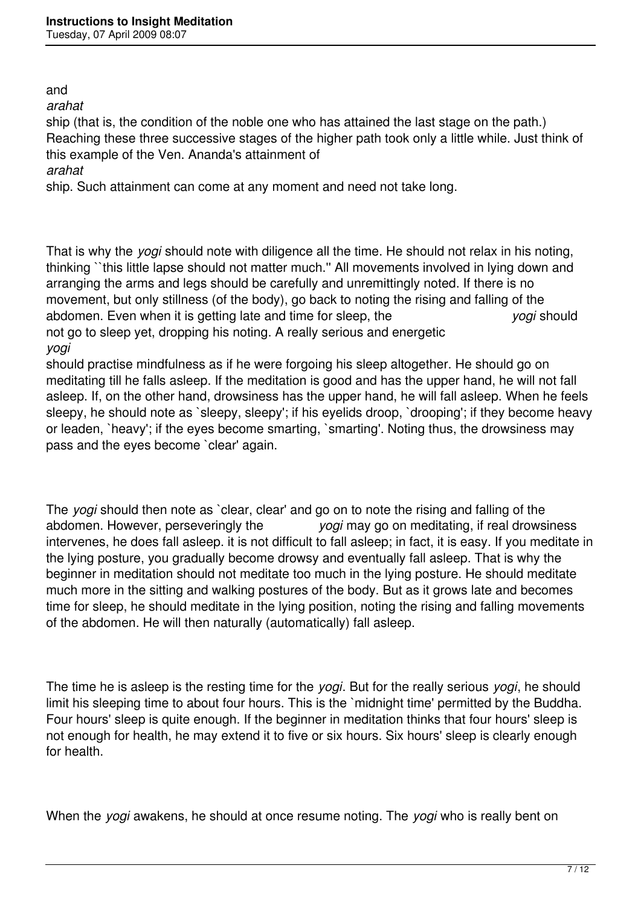and

*arahat*

ship (that is, the condition of the noble one who has attained the last stage on the path.) Reaching these three successive stages of the higher path took only a little while. Just think of this example of the Ven. Ananda's attainment of

*arahat*

ship. Such attainment can come at any moment and need not take long.

That is why the *yogi* should note with diligence all the time. He should not relax in his noting, thinking ``this little lapse should not matter much.'' All movements involved in lying down and arranging the arms and legs should be carefully and unremittingly noted. If there is no movement, but only stillness (of the body), go back to noting the rising and falling of the abdomen. Even when it is getting late and time for sleep, the *yogi* should not go to sleep yet, dropping his noting. A really serious and energetic *yogi*

should practise mindfulness as if he were forgoing his sleep altogether. He should go on meditating till he falls asleep. If the meditation is good and has the upper hand, he will not fall asleep. If, on the other hand, drowsiness has the upper hand, he will fall asleep. When he feels sleepy, he should note as `sleepy, sleepy'; if his eyelids droop, `drooping'; if they become heavy or leaden, `heavy'; if the eyes become smarting, `smarting'. Noting thus, the drowsiness may pass and the eyes become `clear' again.

The *yogi* should then note as `clear, clear' and go on to note the rising and falling of the abdomen. However, perseveringly the *yogi* may go on meditating, if real drowsiness intervenes, he does fall asleep. it is not difficult to fall asleep; in fact, it is easy. If you meditate in the lying posture, you gradually become drowsy and eventually fall asleep. That is why the beginner in meditation should not meditate too much in the lying posture. He should meditate much more in the sitting and walking postures of the body. But as it grows late and becomes time for sleep, he should meditate in the lying position, noting the rising and falling movements of the abdomen. He will then naturally (automatically) fall asleep.

The time he is asleep is the resting time for the *yogi*. But for the really serious *yogi*, he should limit his sleeping time to about four hours. This is the `midnight time' permitted by the Buddha. Four hours' sleep is quite enough. If the beginner in meditation thinks that four hours' sleep is not enough for health, he may extend it to five or six hours. Six hours' sleep is clearly enough for health.

When the *yogi* awakens, he should at once resume noting. The *yogi* who is really bent on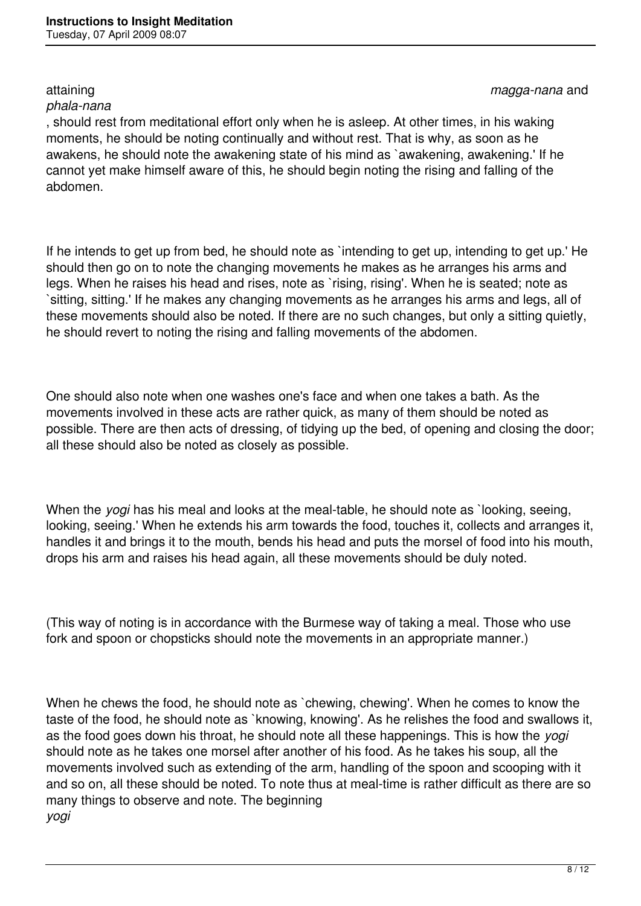# *phala-nana*

attaining *magga-nana* and

, should rest from meditational effort only when he is asleep. At other times, in his waking moments, he should be noting continually and without rest. That is why, as soon as he awakens, he should note the awakening state of his mind as `awakening, awakening.' If he cannot yet make himself aware of this, he should begin noting the rising and falling of the abdomen.

If he intends to get up from bed, he should note as `intending to get up, intending to get up.' He should then go on to note the changing movements he makes as he arranges his arms and legs. When he raises his head and rises, note as `rising, rising'. When he is seated; note as `sitting, sitting.' If he makes any changing movements as he arranges his arms and legs, all of these movements should also be noted. If there are no such changes, but only a sitting quietly, he should revert to noting the rising and falling movements of the abdomen.

One should also note when one washes one's face and when one takes a bath. As the movements involved in these acts are rather quick, as many of them should be noted as possible. There are then acts of dressing, of tidying up the bed, of opening and closing the door; all these should also be noted as closely as possible.

When the *yogi* has his meal and looks at the meal-table, he should note as `looking, seeing, looking, seeing.' When he extends his arm towards the food, touches it, collects and arranges it, handles it and brings it to the mouth, bends his head and puts the morsel of food into his mouth, drops his arm and raises his head again, all these movements should be duly noted.

(This way of noting is in accordance with the Burmese way of taking a meal. Those who use fork and spoon or chopsticks should note the movements in an appropriate manner.)

When he chews the food, he should note as `chewing, chewing'. When he comes to know the taste of the food, he should note as `knowing, knowing'. As he relishes the food and swallows it, as the food goes down his throat, he should note all these happenings. This is how the *yogi* should note as he takes one morsel after another of his food. As he takes his soup, all the movements involved such as extending of the arm, handling of the spoon and scooping with it and so on, all these should be noted. To note thus at meal-time is rather difficult as there are so many things to observe and note. The beginning *yogi*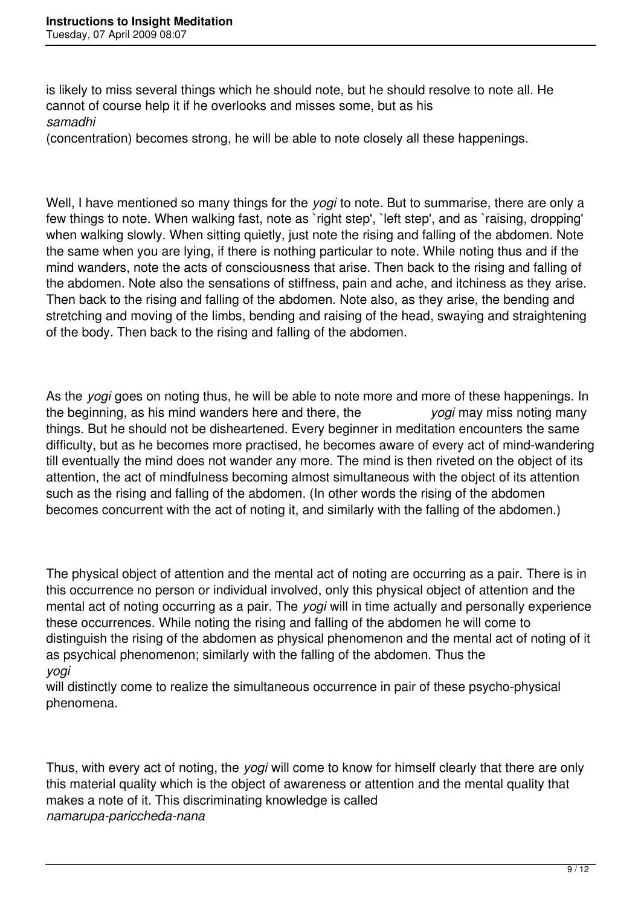is likely to miss several things which he should note, but he should resolve to note all. He cannot of course help it if he overlooks and misses some, but as his *samadhi*

(concentration) becomes strong, he will be able to note closely all these happenings.

Well, I have mentioned so many things for the *yogi* to note. But to summarise, there are only a few things to note. When walking fast, note as `right step', `left step', and as `raising, dropping' when walking slowly. When sitting quietly, just note the rising and falling of the abdomen. Note the same when you are lying, if there is nothing particular to note. While noting thus and if the mind wanders, note the acts of consciousness that arise. Then back to the rising and falling of the abdomen. Note also the sensations of stiffness, pain and ache, and itchiness as they arise. Then back to the rising and falling of the abdomen. Note also, as they arise, the bending and stretching and moving of the limbs, bending and raising of the head, swaying and straightening of the body. Then back to the rising and falling of the abdomen.

As the *yogi* goes on noting thus, he will be able to note more and more of these happenings. In the beginning, as his mind wanders here and there, the *yogi* may miss noting many things. But he should not be disheartened. Every beginner in meditation encounters the same difficulty, but as he becomes more practised, he becomes aware of every act of mind-wandering till eventually the mind does not wander any more. The mind is then riveted on the object of its attention, the act of mindfulness becoming almost simultaneous with the object of its attention such as the rising and falling of the abdomen. (In other words the rising of the abdomen becomes concurrent with the act of noting it, and similarly with the falling of the abdomen.)

The physical object of attention and the mental act of noting are occurring as a pair. There is in this occurrence no person or individual involved, only this physical object of attention and the mental act of noting occurring as a pair. The *yogi* will in time actually and personally experience these occurrences. While noting the rising and falling of the abdomen he will come to distinguish the rising of the abdomen as physical phenomenon and the mental act of noting of it as psychical phenomenon; similarly with the falling of the abdomen. Thus the *yogi*

will distinctly come to realize the simultaneous occurrence in pair of these psycho-physical phenomena.

Thus, with every act of noting, the *yogi* will come to know for himself clearly that there are only this material quality which is the object of awareness or attention and the mental quality that makes a note of it. This discriminating knowledge is called *namarupa-pariccheda-nana*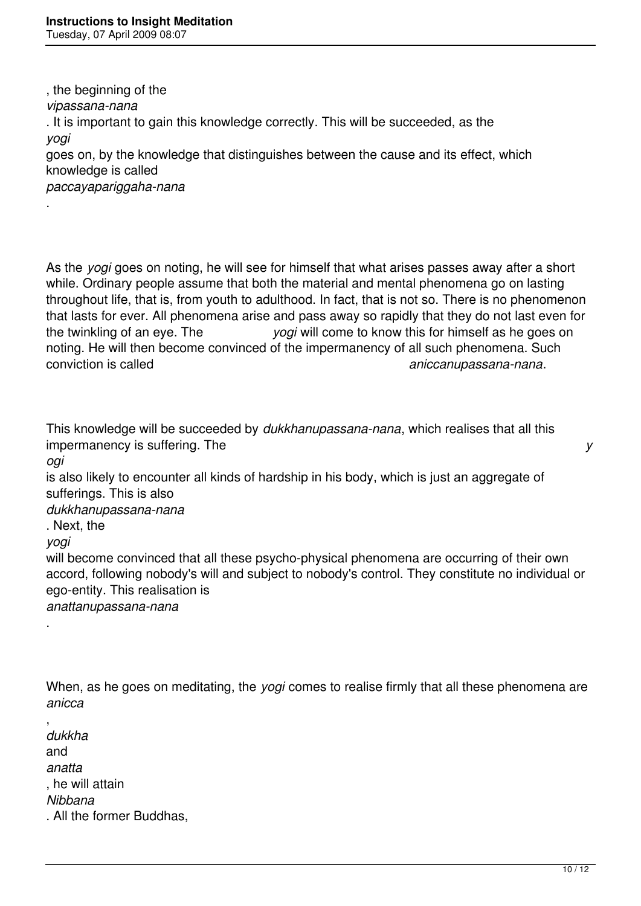, the beginning of the *vipassana-nana* . It is important to gain this knowledge correctly. This will be succeeded, as the *yogi* goes on, by the knowledge that distinguishes between the cause and its effect, which knowledge is called *paccayapariggaha-nana* .

As the *yogi* goes on noting, he will see for himself that what arises passes away after a short while. Ordinary people assume that both the material and mental phenomena go on lasting throughout life, that is, from youth to adulthood. In fact, that is not so. There is no phenomenon that lasts for ever. All phenomena arise and pass away so rapidly that they do not last even for the twinkling of an eye. The *yogi* will come to know this for himself as he goes on noting. He will then become convinced of the impermanency of all such phenomena. Such conviction is called *aniccanupassana-nana*.

This knowledge will be succeeded by *dukkhanupassana-nana*, which realises that all this impermanency is suffering. The *y ogi* is also likely to encounter all kinds of hardship in his body, which is just an aggregate of sufferings. This is also *dukkhanupassana-nana* . Next, the *yogi* will become convinced that all these psycho-physical phenomena are occurring of their own accord, following nobody's will and subject to nobody's control. They constitute no individual or ego-entity. This realisation is *anattanupassana-nana*

When, as he goes on meditating, the *yogi* comes to realise firmly that all these phenomena are *anicca*

, *dukkha* and *anatta* , he will attain *Nibbana* . All the former Buddhas,

.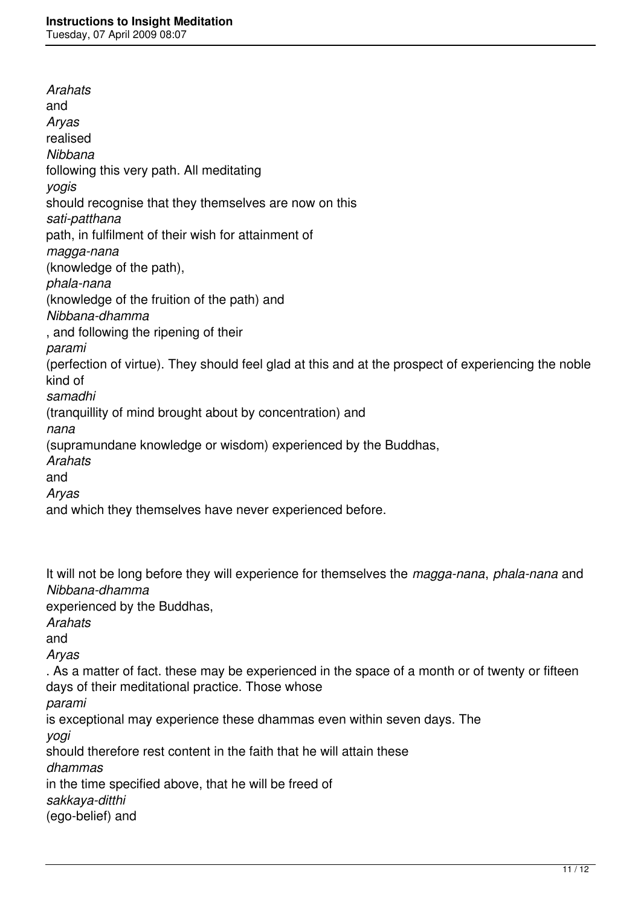*Arahats* and *Aryas* realised *Nibbana* following this very path. All meditating *yogis* should recognise that they themselves are now on this *sati-patthana* path, in fulfilment of their wish for attainment of *magga-nana* (knowledge of the path), *phala-nana* (knowledge of the fruition of the path) and *Nibbana-dhamma* , and following the ripening of their *parami* (perfection of virtue). They should feel glad at this and at the prospect of experiencing the noble kind of *samadhi* (tranquillity of mind brought about by concentration) and *nana* (supramundane knowledge or wisdom) experienced by the Buddhas, *Arahats* and *Aryas* and which they themselves have never experienced before.

It will not be long before they will experience for themselves the *magga-nana*, *phala-nana* and *Nibbana-dhamma* experienced by the Buddhas, *Arahats* and *Aryas* . As a matter of fact. these may be experienced in the space of a month or of twenty or fifteen days of their meditational practice. Those whose *parami* is exceptional may experience these dhammas even within seven days. The *yogi* should therefore rest content in the faith that he will attain these *dhammas* in the time specified above, that he will be freed of *sakkaya-ditthi* (ego-belief) and